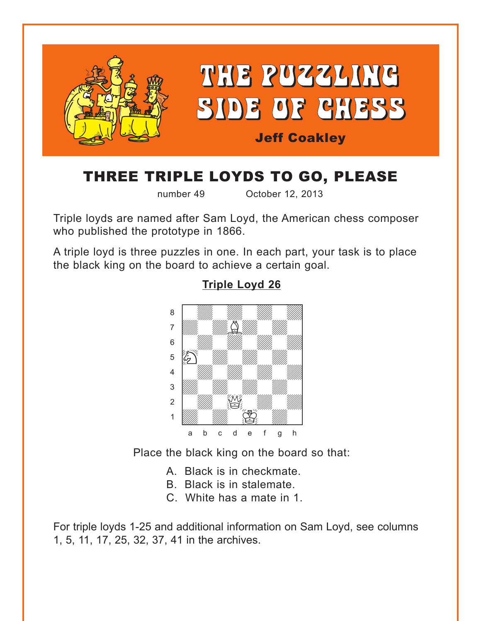<span id="page-0-0"></span>

# THREE TRIPLE LOYDS TO GO, PLEASE

number 49 October 12, 2013

Triple loyds are named after Sam Loyd, the American chess composer who published the prototype in 1866.

A triple loyd is three puzzles in one. In each part, your task is to place the black king on the board to achieve a certain goal.



### **[Triple Loyd 26](#page-3-0)**

Place the black king on the board so that:

- A. Black is in checkmate.
- B. Black is in stalemate.
- C. White has a mate in 1.

For triple loyds 1-25 and additional information on Sam Loyd, see columns 1, 5, 11, 17, 25, 32, 37, 41 in the archives.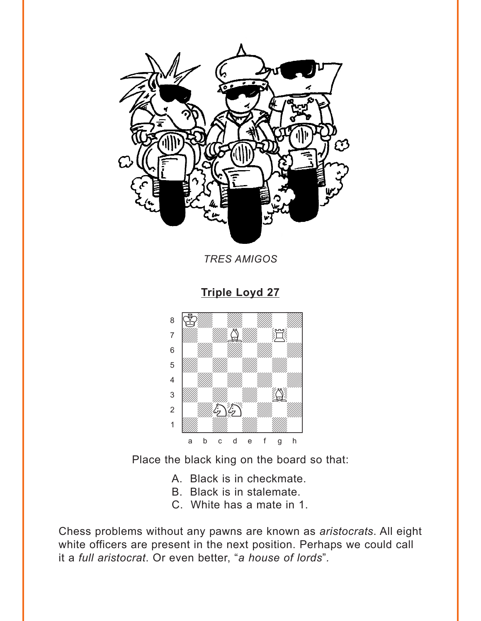<span id="page-1-0"></span>

**TRES AMIGOS** 

**Triple Loyd 27** 



Place the black king on the board so that:

- A. Black is in checkmate.
- B. Black is in stalemate.
- C. White has a mate in 1.

Chess problems without any pawns are known as aristocrats. All eight white officers are present in the next position. Perhaps we could call it a full aristocrat. Or even better, "a house of lords".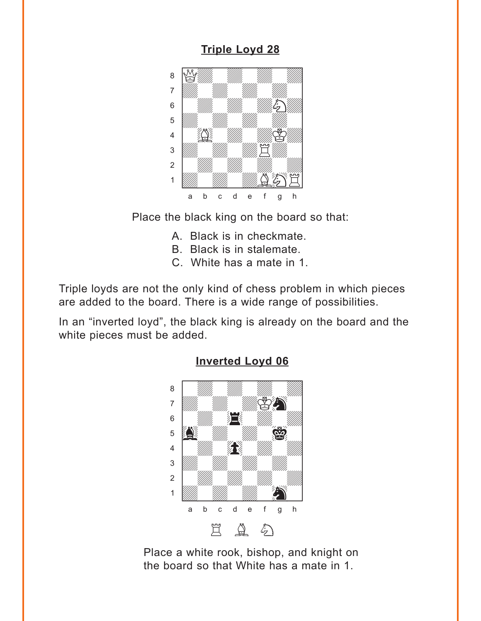## **[Triple Loyd 28](#page-4-0)**

<span id="page-2-0"></span>

Place the black king on the board so that:

- A. Black is in checkmate.
- B. Black is in stalemate.
- C. White has a mate in 1.

Triple loyds are not the only kind of chess problem in which pieces are added to the board. There is a wide range of possibilities.

In an "inverted loyd", the black king is already on the board and the white pieces must be added.



#### **[Inverted Loyd 06](#page-4-0)**

Place a white rook, bishop, and knight on the board so that White has a mate in 1.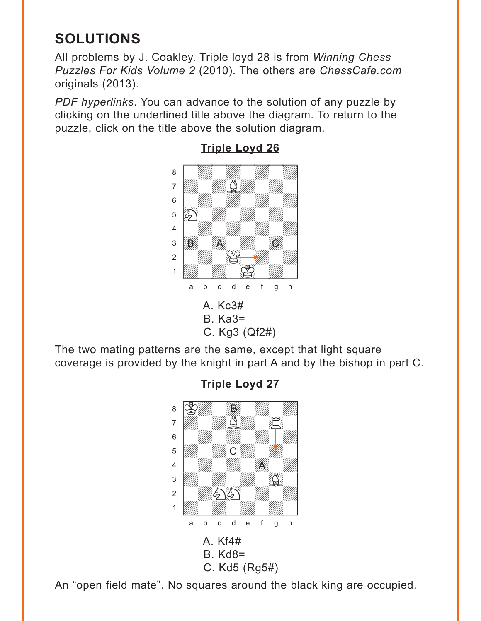# <span id="page-3-0"></span>**SOLUTIONS**

All problems by J. Coakley. Triple loyd 28 is from *Winning Chess Puzzles For Kids Volume 2* (2010). The others are *ChessCafe.com* originals (2013).

*PDF hyperlinks*. You can advance to the solution of any puzzle by clicking on the underlined title above the diagram. To return to the puzzle, click on the title above the solution diagram.



**[Triple Loyd 26](#page-0-0)**

The two mating patterns are the same, except that light square coverage is provided by the knight in part A and by the bishop in part C.



**[Triple Loyd 27](#page-1-0)**

An "open field mate". No squares around the black king are occupied.